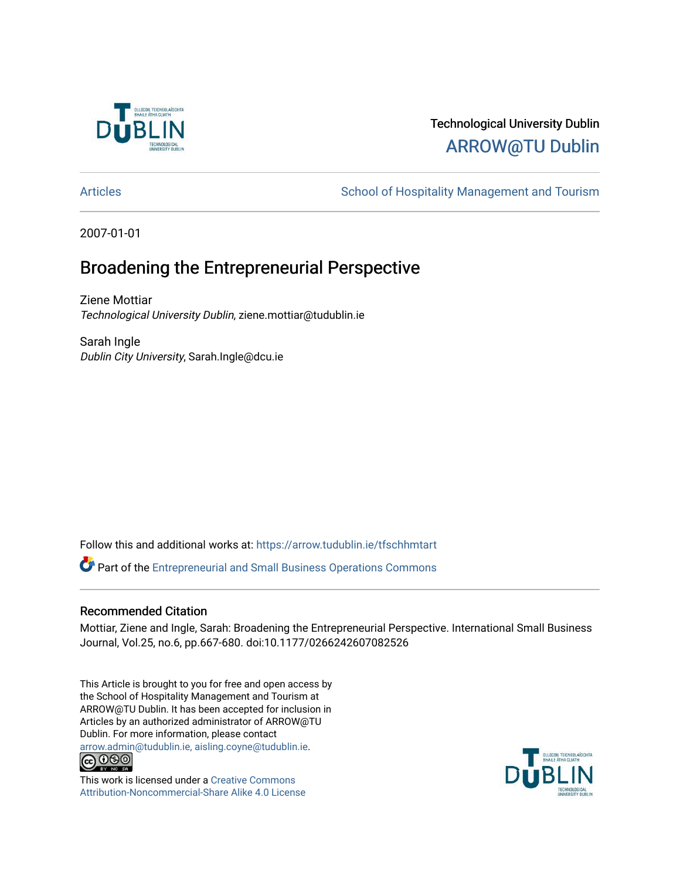

# Technological University Dublin [ARROW@TU Dublin](https://arrow.tudublin.ie/)

[Articles](https://arrow.tudublin.ie/tfschhmtart) **School of Hospitality Management and Tourism** 

2007-01-01

# Broadening the Entrepreneurial Perspective

Ziene Mottiar Technological University Dublin, ziene.mottiar@tudublin.ie

Sarah Ingle Dublin City University, Sarah.Ingle@dcu.ie

Follow this and additional works at: [https://arrow.tudublin.ie/tfschhmtart](https://arrow.tudublin.ie/tfschhmtart?utm_source=arrow.tudublin.ie%2Ftfschhmtart%2F11&utm_medium=PDF&utm_campaign=PDFCoverPages) 

Part of the [Entrepreneurial and Small Business Operations Commons](http://network.bepress.com/hgg/discipline/630?utm_source=arrow.tudublin.ie%2Ftfschhmtart%2F11&utm_medium=PDF&utm_campaign=PDFCoverPages) 

## Recommended Citation

Mottiar, Ziene and Ingle, Sarah: Broadening the Entrepreneurial Perspective. International Small Business Journal, Vol.25, no.6, pp.667-680. doi:10.1177/0266242607082526

This Article is brought to you for free and open access by the School of Hospitality Management and Tourism at ARROW@TU Dublin. It has been accepted for inclusion in Articles by an authorized administrator of ARROW@TU Dublin. For more information, please contact [arrow.admin@tudublin.ie, aisling.coyne@tudublin.ie](mailto:arrow.admin@tudublin.ie,%20aisling.coyne@tudublin.ie).<br>
co 060



This work is licensed under a [Creative Commons](http://creativecommons.org/licenses/by-nc-sa/4.0/) [Attribution-Noncommercial-Share Alike 4.0 License](http://creativecommons.org/licenses/by-nc-sa/4.0/)

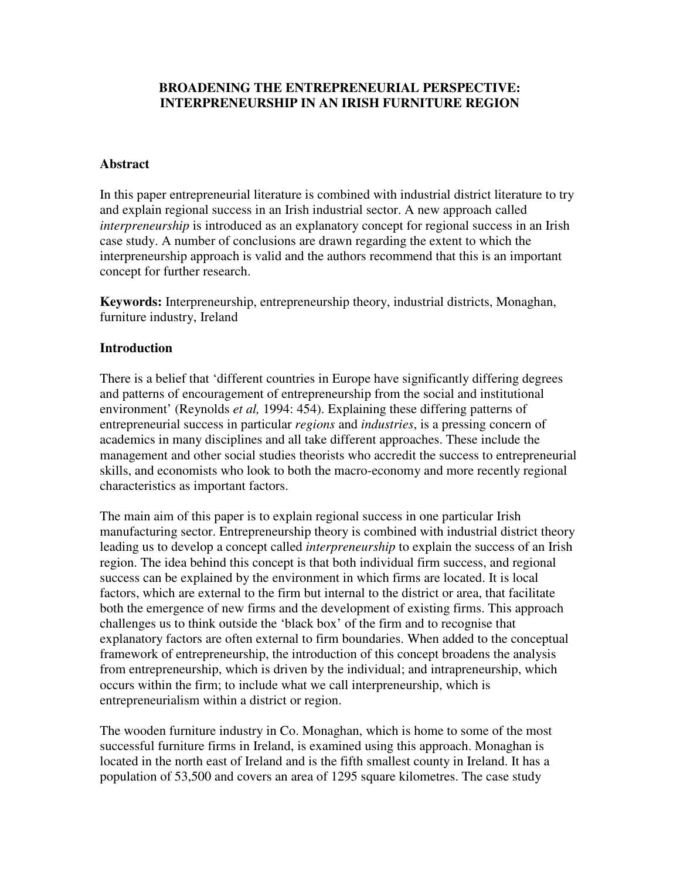# **BROADENING THE ENTREPRENEURIAL PERSPECTIVE: INTERPRENEURSHIP IN AN IRISH FURNITURE REGION**

### **Abstract**

In this paper entrepreneurial literature is combined with industrial district literature to try and explain regional success in an Irish industrial sector. A new approach called *interpreneurship* is introduced as an explanatory concept for regional success in an Irish case study. A number of conclusions are drawn regarding the extent to which the interpreneurship approach is valid and the authors recommend that this is an important concept for further research.

**Keywords:** Interpreneurship, entrepreneurship theory, industrial districts, Monaghan, furniture industry, Ireland

## **Introduction**

There is a belief that 'different countries in Europe have significantly differing degrees and patterns of encouragement of entrepreneurship from the social and institutional environment' (Reynolds *et al,* 1994: 454). Explaining these differing patterns of entrepreneurial success in particular *regions* and *industries*, is a pressing concern of academics in many disciplines and all take different approaches. These include the management and other social studies theorists who accredit the success to entrepreneurial skills, and economists who look to both the macro-economy and more recently regional characteristics as important factors.

The main aim of this paper is to explain regional success in one particular Irish manufacturing sector. Entrepreneurship theory is combined with industrial district theory leading us to develop a concept called *interpreneurship* to explain the success of an Irish region. The idea behind this concept is that both individual firm success, and regional success can be explained by the environment in which firms are located. It is local factors, which are external to the firm but internal to the district or area, that facilitate both the emergence of new firms and the development of existing firms. This approach challenges us to think outside the 'black box' of the firm and to recognise that explanatory factors are often external to firm boundaries. When added to the conceptual framework of entrepreneurship, the introduction of this concept broadens the analysis from entrepreneurship, which is driven by the individual; and intrapreneurship, which occurs within the firm; to include what we call interpreneurship, which is entrepreneurialism within a district or region.

The wooden furniture industry in Co. Monaghan, which is home to some of the most successful furniture firms in Ireland, is examined using this approach. Monaghan is located in the north east of Ireland and is the fifth smallest county in Ireland. It has a population of 53,500 and covers an area of 1295 square kilometres. The case study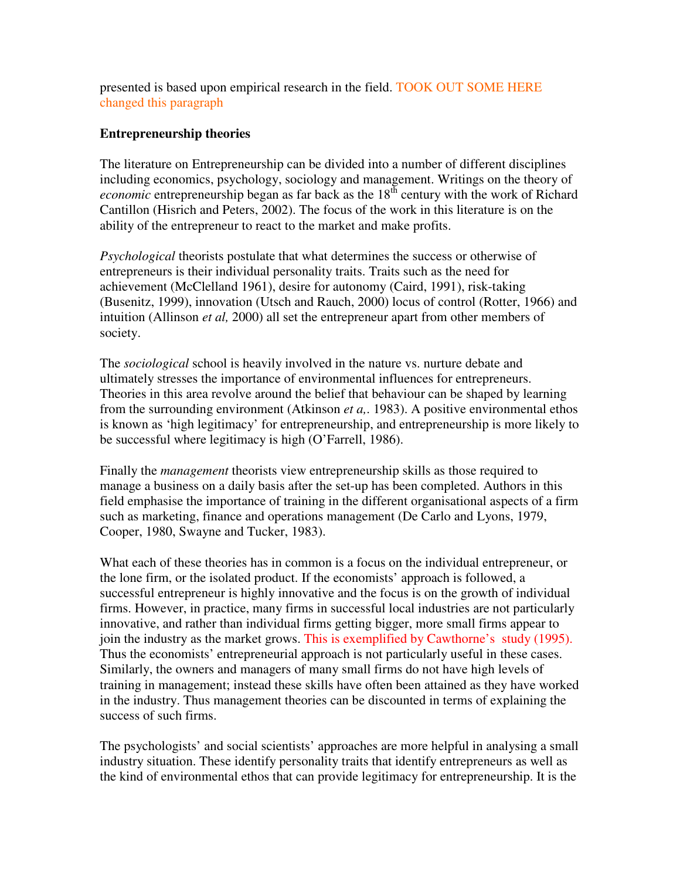presented is based upon empirical research in the field. TOOK OUT SOME HERE changed this paragraph

# **Entrepreneurship theories**

The literature on Entrepreneurship can be divided into a number of different disciplines including economics, psychology, sociology and management. Writings on the theory of *economic* entrepreneurship began as far back as the 18<sup>th</sup> century with the work of Richard Cantillon (Hisrich and Peters, 2002). The focus of the work in this literature is on the ability of the entrepreneur to react to the market and make profits.

*Psychological* theorists postulate that what determines the success or otherwise of entrepreneurs is their individual personality traits. Traits such as the need for achievement (McClelland 1961), desire for autonomy (Caird, 1991), risk-taking (Busenitz, 1999), innovation (Utsch and Rauch, 2000) locus of control (Rotter, 1966) and intuition (Allinson *et al,* 2000) all set the entrepreneur apart from other members of society.

The *sociological* school is heavily involved in the nature vs. nurture debate and ultimately stresses the importance of environmental influences for entrepreneurs. Theories in this area revolve around the belief that behaviour can be shaped by learning from the surrounding environment (Atkinson *et a,*. 1983). A positive environmental ethos is known as 'high legitimacy' for entrepreneurship, and entrepreneurship is more likely to be successful where legitimacy is high (O'Farrell, 1986).

Finally the *management* theorists view entrepreneurship skills as those required to manage a business on a daily basis after the set-up has been completed. Authors in this field emphasise the importance of training in the different organisational aspects of a firm such as marketing, finance and operations management (De Carlo and Lyons, 1979, Cooper, 1980, Swayne and Tucker, 1983).

What each of these theories has in common is a focus on the individual entrepreneur, or the lone firm, or the isolated product. If the economists' approach is followed, a successful entrepreneur is highly innovative and the focus is on the growth of individual firms. However, in practice, many firms in successful local industries are not particularly innovative, and rather than individual firms getting bigger, more small firms appear to join the industry as the market grows. This is exemplified by Cawthorne's study (1995). Thus the economists' entrepreneurial approach is not particularly useful in these cases. Similarly, the owners and managers of many small firms do not have high levels of training in management; instead these skills have often been attained as they have worked in the industry. Thus management theories can be discounted in terms of explaining the success of such firms.

The psychologists' and social scientists' approaches are more helpful in analysing a small industry situation. These identify personality traits that identify entrepreneurs as well as the kind of environmental ethos that can provide legitimacy for entrepreneurship. It is the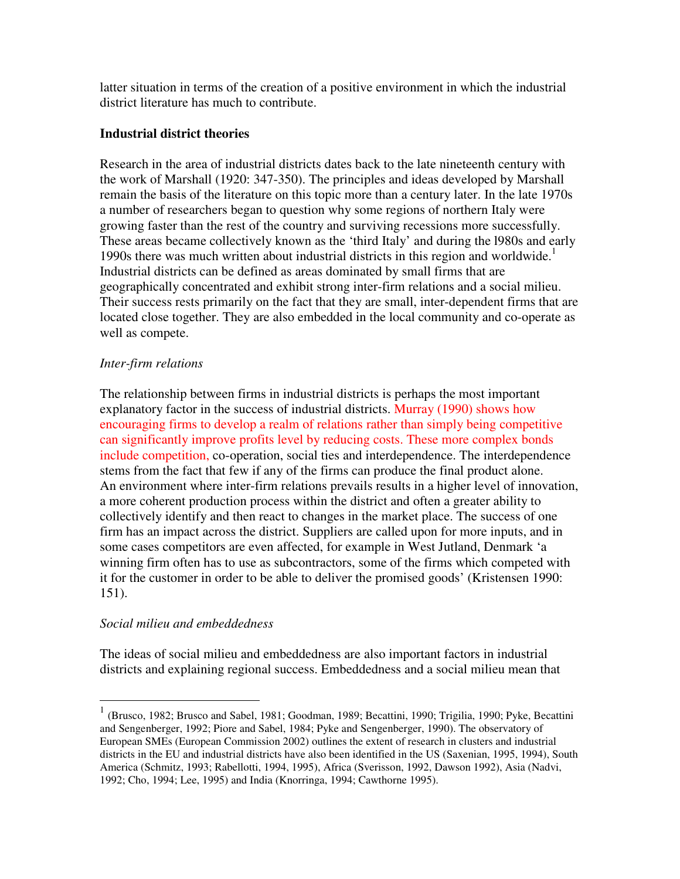latter situation in terms of the creation of a positive environment in which the industrial district literature has much to contribute.

## **Industrial district theories**

Research in the area of industrial districts dates back to the late nineteenth century with the work of Marshall (1920: 347-350). The principles and ideas developed by Marshall remain the basis of the literature on this topic more than a century later. In the late 1970s a number of researchers began to question why some regions of northern Italy were growing faster than the rest of the country and surviving recessions more successfully. These areas became collectively known as the 'third Italy' and during the l980s and early 1990s there was much written about industrial districts in this region and worldwide.<sup>1</sup> Industrial districts can be defined as areas dominated by small firms that are geographically concentrated and exhibit strong inter-firm relations and a social milieu. Their success rests primarily on the fact that they are small, inter-dependent firms that are located close together. They are also embedded in the local community and co-operate as well as compete.

# *Inter-firm relations*

The relationship between firms in industrial districts is perhaps the most important explanatory factor in the success of industrial districts. Murray (1990) shows how encouraging firms to develop a realm of relations rather than simply being competitive can significantly improve profits level by reducing costs. These more complex bonds include competition, co-operation, social ties and interdependence. The interdependence stems from the fact that few if any of the firms can produce the final product alone. An environment where inter-firm relations prevails results in a higher level of innovation, a more coherent production process within the district and often a greater ability to collectively identify and then react to changes in the market place. The success of one firm has an impact across the district. Suppliers are called upon for more inputs, and in some cases competitors are even affected, for example in West Jutland, Denmark 'a winning firm often has to use as subcontractors, some of the firms which competed with it for the customer in order to be able to deliver the promised goods' (Kristensen 1990: 151).

# *Social milieu and embeddedness*

 $\overline{a}$ 

The ideas of social milieu and embeddedness are also important factors in industrial districts and explaining regional success. Embeddedness and a social milieu mean that

<sup>&</sup>lt;sup>1</sup> (Brusco, 1982; Brusco and Sabel, 1981; Goodman, 1989; Becattini, 1990; Trigilia, 1990; Pyke, Becattini and Sengenberger, 1992; Piore and Sabel, 1984; Pyke and Sengenberger, 1990). The observatory of European SMEs (European Commission 2002) outlines the extent of research in clusters and industrial districts in the EU and industrial districts have also been identified in the US (Saxenian, 1995, 1994), South America (Schmitz, 1993; Rabellotti, 1994, 1995), Africa (Sverisson, 1992, Dawson 1992), Asia (Nadvi, 1992; Cho, 1994; Lee, 1995) and India (Knorringa, 1994; Cawthorne 1995).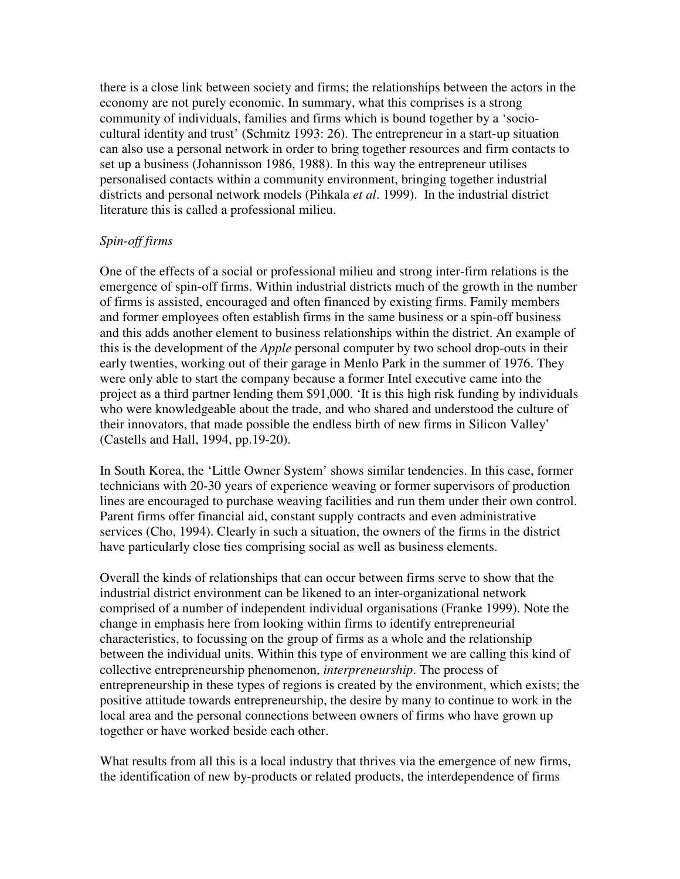there is a close link between society and firms; the relationships between the actors in the economy are not purely economic. In summary, what this comprises is a strong community of individuals, families and firms which is bound together by a 'sociocultural identity and trust' (Schmitz 1993: 26). The entrepreneur in a start-up situation can also use a personal network in order to bring together resources and firm contacts to set up a business (Johannisson 1986, 1988). In this way the entrepreneur utilises personalised contacts within a community environment, bringing together industrial districts and personal network models (Pihkala *et al*. 1999). In the industrial district literature this is called a professional milieu.

# *Spin-off firms*

One of the effects of a social or professional milieu and strong inter-firm relations is the emergence of spin-off firms. Within industrial districts much of the growth in the number of firms is assisted, encouraged and often financed by existing firms. Family members and former employees often establish firms in the same business or a spin-off business and this adds another element to business relationships within the district. An example of this is the development of the *Apple* personal computer by two school drop-outs in their early twenties, working out of their garage in Menlo Park in the summer of 1976. They were only able to start the company because a former Intel executive came into the project as a third partner lending them \$91,000. 'It is this high risk funding by individuals who were knowledgeable about the trade, and who shared and understood the culture of their innovators, that made possible the endless birth of new firms in Silicon Valley' (Castells and Hall, 1994, pp.19-20).

In South Korea, the 'Little Owner System' shows similar tendencies. In this case, former technicians with 20-30 years of experience weaving or former supervisors of production lines are encouraged to purchase weaving facilities and run them under their own control. Parent firms offer financial aid, constant supply contracts and even administrative services (Cho, 1994). Clearly in such a situation, the owners of the firms in the district have particularly close ties comprising social as well as business elements.

Overall the kinds of relationships that can occur between firms serve to show that the industrial district environment can be likened to an inter-organizational network comprised of a number of independent individual organisations (Franke 1999). Note the change in emphasis here from looking within firms to identify entrepreneurial characteristics, to focussing on the group of firms as a whole and the relationship between the individual units. Within this type of environment we are calling this kind of collective entrepreneurship phenomenon, *interpreneurship*. The process of entrepreneurship in these types of regions is created by the environment, which exists; the positive attitude towards entrepreneurship, the desire by many to continue to work in the local area and the personal connections between owners of firms who have grown up together or have worked beside each other.

What results from all this is a local industry that thrives via the emergence of new firms, the identification of new by-products or related products, the interdependence of firms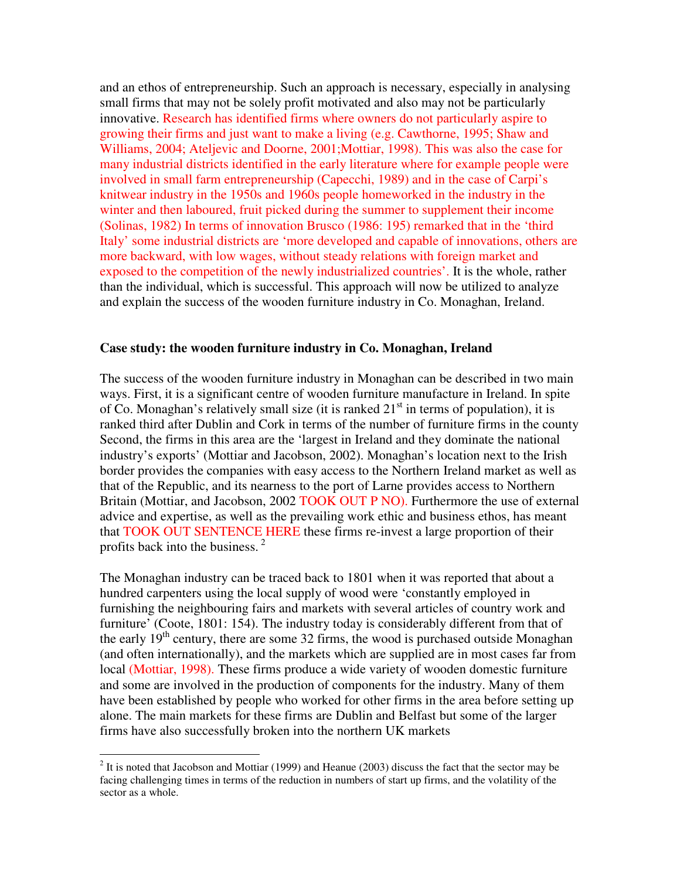and an ethos of entrepreneurship. Such an approach is necessary, especially in analysing small firms that may not be solely profit motivated and also may not be particularly innovative. Research has identified firms where owners do not particularly aspire to growing their firms and just want to make a living (e.g. Cawthorne, 1995; Shaw and Williams, 2004; Ateljevic and Doorne, 2001;Mottiar, 1998). This was also the case for many industrial districts identified in the early literature where for example people were involved in small farm entrepreneurship (Capecchi, 1989) and in the case of Carpi's knitwear industry in the 1950s and 1960s people homeworked in the industry in the winter and then laboured, fruit picked during the summer to supplement their income (Solinas, 1982) In terms of innovation Brusco (1986: 195) remarked that in the 'third Italy' some industrial districts are 'more developed and capable of innovations, others are more backward, with low wages, without steady relations with foreign market and exposed to the competition of the newly industrialized countries'. It is the whole, rather than the individual, which is successful. This approach will now be utilized to analyze and explain the success of the wooden furniture industry in Co. Monaghan, Ireland.

#### **Case study: the wooden furniture industry in Co. Monaghan, Ireland**

The success of the wooden furniture industry in Monaghan can be described in two main ways. First, it is a significant centre of wooden furniture manufacture in Ireland. In spite of Co. Monaghan's relatively small size (it is ranked  $21<sup>st</sup>$  in terms of population), it is ranked third after Dublin and Cork in terms of the number of furniture firms in the county Second, the firms in this area are the 'largest in Ireland and they dominate the national industry's exports' (Mottiar and Jacobson, 2002). Monaghan's location next to the Irish border provides the companies with easy access to the Northern Ireland market as well as that of the Republic, and its nearness to the port of Larne provides access to Northern Britain (Mottiar, and Jacobson, 2002 TOOK OUT P NO). Furthermore the use of external advice and expertise, as well as the prevailing work ethic and business ethos, has meant that TOOK OUT SENTENCE HERE these firms re-invest a large proportion of their profits back into the business. $<sup>2</sup>$ </sup>

The Monaghan industry can be traced back to 1801 when it was reported that about a hundred carpenters using the local supply of wood were 'constantly employed in furnishing the neighbouring fairs and markets with several articles of country work and furniture' (Coote, 1801: 154). The industry today is considerably different from that of the early  $19<sup>th</sup>$  century, there are some 32 firms, the wood is purchased outside Monaghan (and often internationally), and the markets which are supplied are in most cases far from local (Mottiar, 1998). These firms produce a wide variety of wooden domestic furniture and some are involved in the production of components for the industry. Many of them have been established by people who worked for other firms in the area before setting up alone. The main markets for these firms are Dublin and Belfast but some of the larger firms have also successfully broken into the northern UK markets

 $\overline{a}$ 

 $2$  It is noted that Jacobson and Mottiar (1999) and Heanue (2003) discuss the fact that the sector may be facing challenging times in terms of the reduction in numbers of start up firms, and the volatility of the sector as a whole.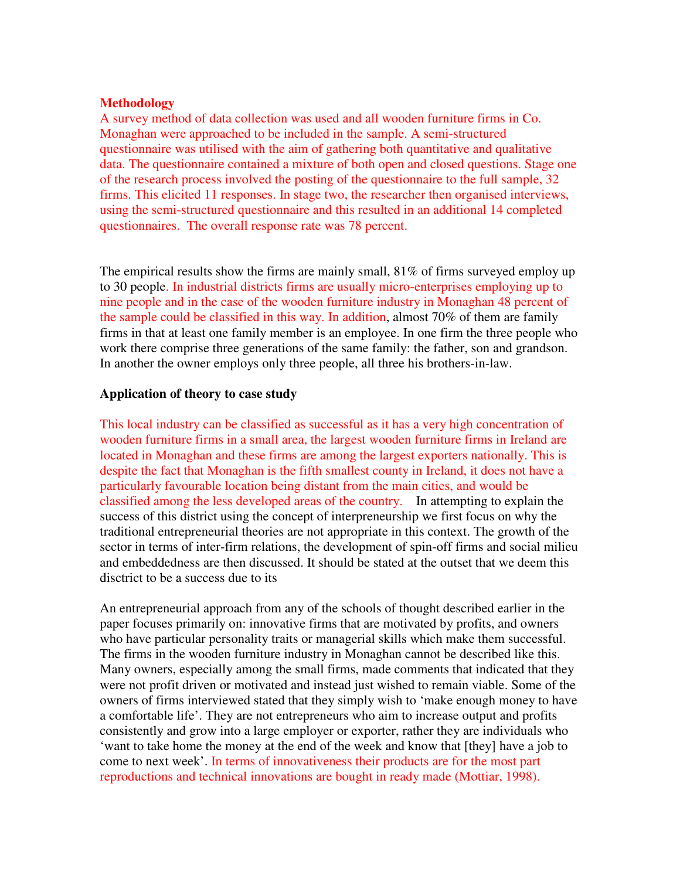#### **Methodology**

A survey method of data collection was used and all wooden furniture firms in Co. Monaghan were approached to be included in the sample. A semi-structured questionnaire was utilised with the aim of gathering both quantitative and qualitative data. The questionnaire contained a mixture of both open and closed questions. Stage one of the research process involved the posting of the questionnaire to the full sample, 32 firms. This elicited 11 responses. In stage two, the researcher then organised interviews, using the semi-structured questionnaire and this resulted in an additional 14 completed questionnaires. The overall response rate was 78 percent.

The empirical results show the firms are mainly small, 81% of firms surveyed employ up to 30 people. In industrial districts firms are usually micro-enterprises employing up to nine people and in the case of the wooden furniture industry in Monaghan 48 percent of the sample could be classified in this way. In addition, almost 70% of them are family firms in that at least one family member is an employee. In one firm the three people who work there comprise three generations of the same family: the father, son and grandson. In another the owner employs only three people, all three his brothers-in-law.

#### **Application of theory to case study**

This local industry can be classified as successful as it has a very high concentration of wooden furniture firms in a small area, the largest wooden furniture firms in Ireland are located in Monaghan and these firms are among the largest exporters nationally. This is despite the fact that Monaghan is the fifth smallest county in Ireland, it does not have a particularly favourable location being distant from the main cities, and would be classified among the less developed areas of the country. In attempting to explain the success of this district using the concept of interpreneurship we first focus on why the traditional entrepreneurial theories are not appropriate in this context. The growth of the sector in terms of inter-firm relations, the development of spin-off firms and social milieu and embeddedness are then discussed. It should be stated at the outset that we deem this disctrict to be a success due to its

An entrepreneurial approach from any of the schools of thought described earlier in the paper focuses primarily on: innovative firms that are motivated by profits, and owners who have particular personality traits or managerial skills which make them successful. The firms in the wooden furniture industry in Monaghan cannot be described like this. Many owners, especially among the small firms, made comments that indicated that they were not profit driven or motivated and instead just wished to remain viable. Some of the owners of firms interviewed stated that they simply wish to 'make enough money to have a comfortable life'. They are not entrepreneurs who aim to increase output and profits consistently and grow into a large employer or exporter, rather they are individuals who 'want to take home the money at the end of the week and know that [they] have a job to come to next week'. In terms of innovativeness their products are for the most part reproductions and technical innovations are bought in ready made (Mottiar, 1998).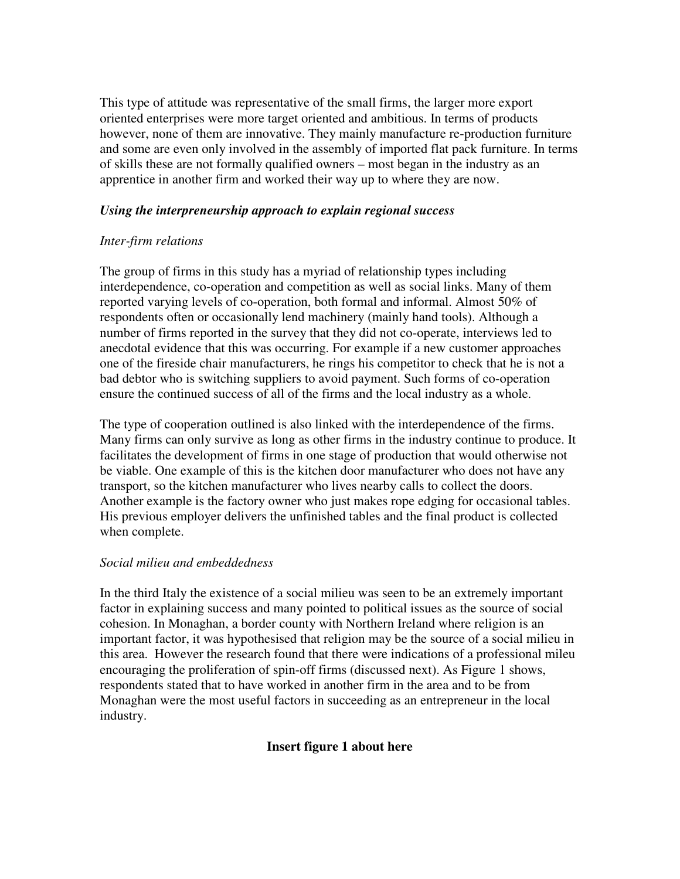This type of attitude was representative of the small firms, the larger more export oriented enterprises were more target oriented and ambitious. In terms of products however, none of them are innovative. They mainly manufacture re-production furniture and some are even only involved in the assembly of imported flat pack furniture. In terms of skills these are not formally qualified owners – most began in the industry as an apprentice in another firm and worked their way up to where they are now.

## *Using the interpreneurship approach to explain regional success*

# *Inter-firm relations*

The group of firms in this study has a myriad of relationship types including interdependence, co-operation and competition as well as social links. Many of them reported varying levels of co-operation, both formal and informal. Almost 50% of respondents often or occasionally lend machinery (mainly hand tools). Although a number of firms reported in the survey that they did not co-operate, interviews led to anecdotal evidence that this was occurring. For example if a new customer approaches one of the fireside chair manufacturers, he rings his competitor to check that he is not a bad debtor who is switching suppliers to avoid payment. Such forms of co-operation ensure the continued success of all of the firms and the local industry as a whole.

The type of cooperation outlined is also linked with the interdependence of the firms. Many firms can only survive as long as other firms in the industry continue to produce. It facilitates the development of firms in one stage of production that would otherwise not be viable. One example of this is the kitchen door manufacturer who does not have any transport, so the kitchen manufacturer who lives nearby calls to collect the doors. Another example is the factory owner who just makes rope edging for occasional tables. His previous employer delivers the unfinished tables and the final product is collected when complete.

## *Social milieu and embeddedness*

In the third Italy the existence of a social milieu was seen to be an extremely important factor in explaining success and many pointed to political issues as the source of social cohesion. In Monaghan, a border county with Northern Ireland where religion is an important factor, it was hypothesised that religion may be the source of a social milieu in this area. However the research found that there were indications of a professional mileu encouraging the proliferation of spin-off firms (discussed next). As Figure 1 shows, respondents stated that to have worked in another firm in the area and to be from Monaghan were the most useful factors in succeeding as an entrepreneur in the local industry.

# **Insert figure 1 about here**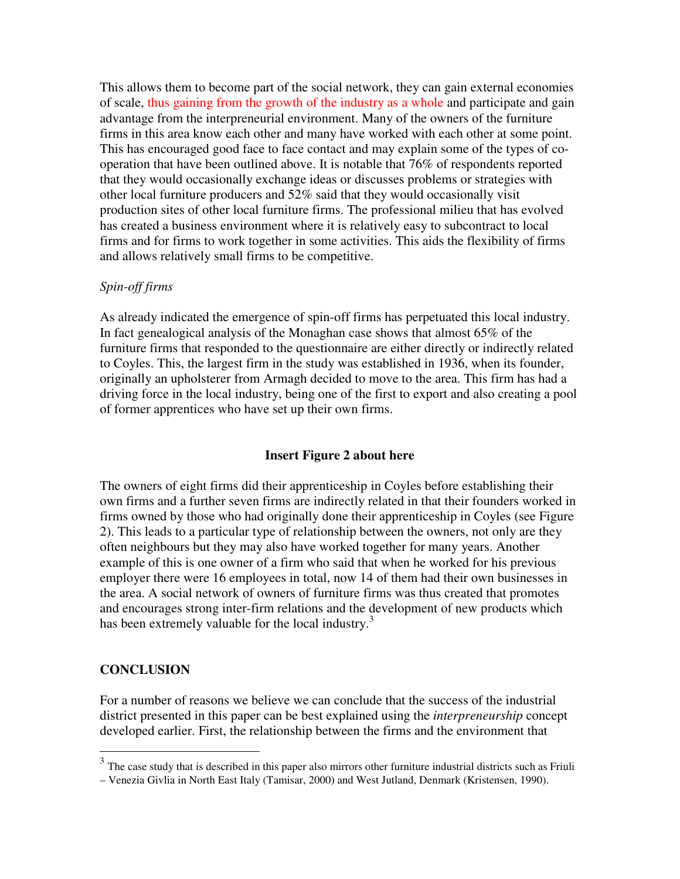This allows them to become part of the social network, they can gain external economies of scale, thus gaining from the growth of the industry as a whole and participate and gain advantage from the interpreneurial environment. Many of the owners of the furniture firms in this area know each other and many have worked with each other at some point. This has encouraged good face to face contact and may explain some of the types of cooperation that have been outlined above. It is notable that 76% of respondents reported that they would occasionally exchange ideas or discusses problems or strategies with other local furniture producers and 52% said that they would occasionally visit production sites of other local furniture firms. The professional milieu that has evolved has created a business environment where it is relatively easy to subcontract to local firms and for firms to work together in some activities. This aids the flexibility of firms and allows relatively small firms to be competitive.

## *Spin-off firms*

As already indicated the emergence of spin-off firms has perpetuated this local industry. In fact genealogical analysis of the Monaghan case shows that almost 65% of the furniture firms that responded to the questionnaire are either directly or indirectly related to Coyles. This, the largest firm in the study was established in 1936, when its founder, originally an upholsterer from Armagh decided to move to the area. This firm has had a driving force in the local industry, being one of the first to export and also creating a pool of former apprentices who have set up their own firms.

# **Insert Figure 2 about here**

The owners of eight firms did their apprenticeship in Coyles before establishing their own firms and a further seven firms are indirectly related in that their founders worked in firms owned by those who had originally done their apprenticeship in Coyles (see Figure 2). This leads to a particular type of relationship between the owners, not only are they often neighbours but they may also have worked together for many years. Another example of this is one owner of a firm who said that when he worked for his previous employer there were 16 employees in total, now 14 of them had their own businesses in the area. A social network of owners of furniture firms was thus created that promotes and encourages strong inter-firm relations and the development of new products which has been extremely valuable for the local industry.<sup>3</sup>

# **CONCLUSION**

 $\overline{a}$ 

For a number of reasons we believe we can conclude that the success of the industrial district presented in this paper can be best explained using the *interpreneurship* concept developed earlier. First, the relationship between the firms and the environment that

 $3$  The case study that is described in this paper also mirrors other furniture industrial districts such as Friuli

<sup>–</sup> Venezia Givlia in North East Italy (Tamisar, 2000) and West Jutland, Denmark (Kristensen, 1990).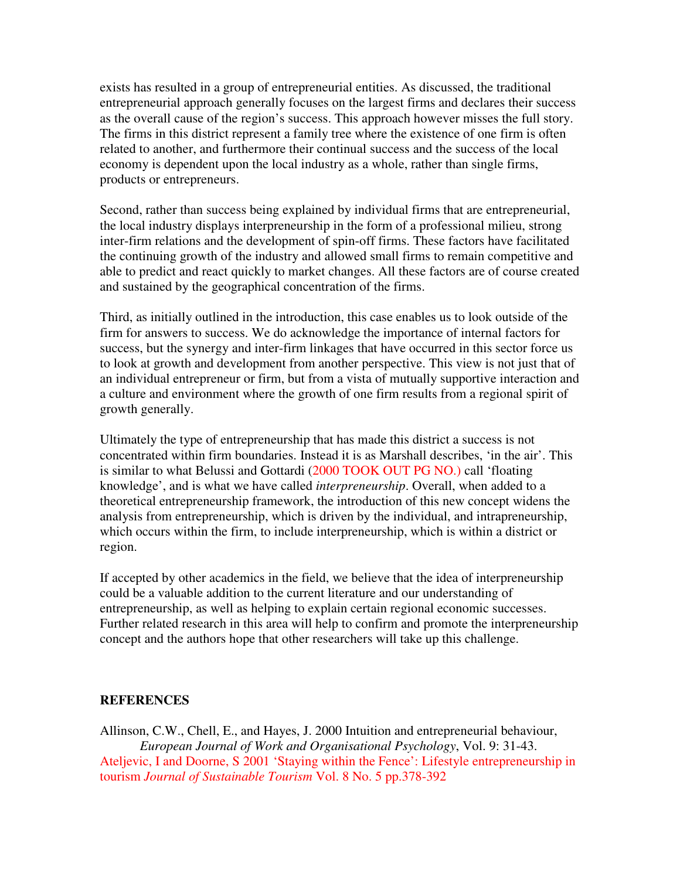exists has resulted in a group of entrepreneurial entities. As discussed, the traditional entrepreneurial approach generally focuses on the largest firms and declares their success as the overall cause of the region's success. This approach however misses the full story. The firms in this district represent a family tree where the existence of one firm is often related to another, and furthermore their continual success and the success of the local economy is dependent upon the local industry as a whole, rather than single firms, products or entrepreneurs.

Second, rather than success being explained by individual firms that are entrepreneurial, the local industry displays interpreneurship in the form of a professional milieu, strong inter-firm relations and the development of spin-off firms. These factors have facilitated the continuing growth of the industry and allowed small firms to remain competitive and able to predict and react quickly to market changes. All these factors are of course created and sustained by the geographical concentration of the firms.

Third, as initially outlined in the introduction, this case enables us to look outside of the firm for answers to success. We do acknowledge the importance of internal factors for success, but the synergy and inter-firm linkages that have occurred in this sector force us to look at growth and development from another perspective. This view is not just that of an individual entrepreneur or firm, but from a vista of mutually supportive interaction and a culture and environment where the growth of one firm results from a regional spirit of growth generally.

Ultimately the type of entrepreneurship that has made this district a success is not concentrated within firm boundaries. Instead it is as Marshall describes, 'in the air'. This is similar to what Belussi and Gottardi (2000 TOOK OUT PG NO.) call 'floating knowledge', and is what we have called *interpreneurship*. Overall, when added to a theoretical entrepreneurship framework, the introduction of this new concept widens the analysis from entrepreneurship, which is driven by the individual, and intrapreneurship, which occurs within the firm, to include interpreneurship, which is within a district or region.

If accepted by other academics in the field, we believe that the idea of interpreneurship could be a valuable addition to the current literature and our understanding of entrepreneurship, as well as helping to explain certain regional economic successes. Further related research in this area will help to confirm and promote the interpreneurship concept and the authors hope that other researchers will take up this challenge.

#### **REFERENCES**

Allinson, C.W., Chell, E., and Hayes, J. 2000 Intuition and entrepreneurial behaviour, *European Journal of Work and Organisational Psychology*, Vol. 9: 31-43. Ateljevic, I and Doorne, S 2001 'Staying within the Fence': Lifestyle entrepreneurship in tourism *Journal of Sustainable Tourism* Vol. 8 No. 5 pp.378-392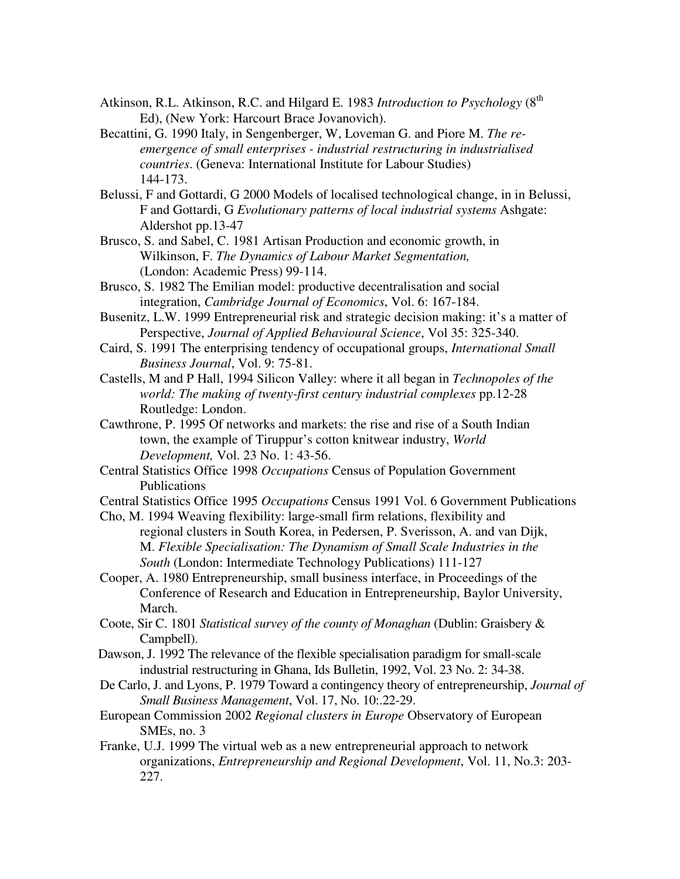- Atkinson, R.L. Atkinson, R.C. and Hilgard E. 1983 *Introduction to Psychology* (8<sup>th</sup>) Ed), (New York: Harcourt Brace Jovanovich).
- Becattini, G. 1990 Italy, in Sengenberger, W, Loveman G. and Piore M. *The reemergence of small enterprises - industrial restructuring in industrialised countries*. (Geneva: International Institute for Labour Studies) 144-173.
- Belussi, F and Gottardi, G 2000 Models of localised technological change, in in Belussi, F and Gottardi, G *Evolutionary patterns of local industrial systems* Ashgate: Aldershot pp.13-47
- Brusco, S. and Sabel, C. 1981 Artisan Production and economic growth, in Wilkinson, F. *The Dynamics of Labour Market Segmentation,* (London: Academic Press) 99-114.
- Brusco, S. 1982 The Emilian model: productive decentralisation and social integration, *Cambridge Journal of Economics*, Vol. 6: 167-184.
- Busenitz, L.W. 1999 Entrepreneurial risk and strategic decision making: it's a matter of Perspective, *Journal of Applied Behavioural Science*, Vol 35: 325-340.
- Caird, S. 1991 The enterprising tendency of occupational groups, *International Small Business Journal*, Vol. 9: 75-81.
- Castells, M and P Hall, 1994 Silicon Valley: where it all began in *Technopoles of the world: The making of twenty-first century industrial complexes* pp.12-28 Routledge: London.
- Cawthrone, P. 1995 Of networks and markets: the rise and rise of a South Indian town, the example of Tiruppur's cotton knitwear industry, *World Development,* Vol. 23 No. 1: 43-56.
- Central Statistics Office 1998 *Occupations* Census of Population Government Publications
- Central Statistics Office 1995 *Occupations* Census 1991 Vol. 6 Government Publications
- Cho, M. 1994 Weaving flexibility: large-small firm relations, flexibility and regional clusters in South Korea, in Pedersen, P. Sverisson, A. and van Dijk, M. *Flexible Specialisation: The Dynamism of Small Scale Industries in the South* (London: Intermediate Technology Publications) 111-127
- Cooper, A. 1980 Entrepreneurship, small business interface, in Proceedings of the Conference of Research and Education in Entrepreneurship, Baylor University, March.
- Coote, Sir C. 1801 *Statistical survey of the county of Monaghan* (Dublin: Graisbery & Campbell).
- Dawson, J. 1992 The relevance of the flexible specialisation paradigm for small-scale industrial restructuring in Ghana, Ids Bulletin, 1992, Vol. 23 No. 2: 34-38.
- De Carlo, J. and Lyons, P. 1979 Toward a contingency theory of entrepreneurship, *Journal of Small Business Management*, Vol. 17, No. 10:.22-29.
- European Commission 2002 *Regional clusters in Europe* Observatory of European SMEs, no. 3
- Franke, U.J. 1999 The virtual web as a new entrepreneurial approach to network organizations, *Entrepreneurship and Regional Development*, Vol. 11, No.3: 203- 227.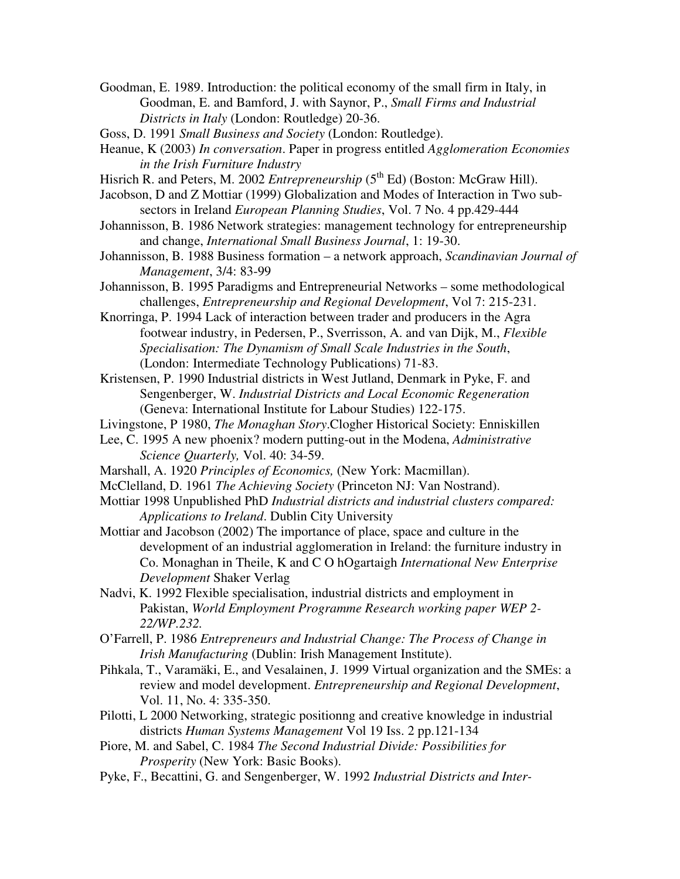- Goodman, E. 1989. Introduction: the political economy of the small firm in Italy, in Goodman, E. and Bamford, J. with Saynor, P., *Small Firms and Industrial Districts in Italy* (London: Routledge) 20-36.
- Goss, D. 1991 *Small Business and Society* (London: Routledge).
- Heanue, K (2003) *In conversation*. Paper in progress entitled *Agglomeration Economies in the Irish Furniture Industry*
- Hisrich R. and Peters, M. 2002 *Entrepreneurship* (5<sup>th</sup> Ed) (Boston: McGraw Hill).
- Jacobson, D and Z Mottiar (1999) Globalization and Modes of Interaction in Two subsectors in Ireland *European Planning Studies*, Vol. 7 No. 4 pp.429-444
- Johannisson, B. 1986 Network strategies: management technology for entrepreneurship and change, *International Small Business Journal*, 1: 19-30.
- Johannisson, B. 1988 Business formation a network approach, *Scandinavian Journal of Management*, 3/4: 83-99
- Johannisson, B. 1995 Paradigms and Entrepreneurial Networks some methodological challenges, *Entrepreneurship and Regional Development*, Vol 7: 215-231.
- Knorringa, P. 1994 Lack of interaction between trader and producers in the Agra footwear industry, in Pedersen, P., Sverrisson, A. and van Dijk, M., *Flexible Specialisation: The Dynamism of Small Scale Industries in the South*, (London: Intermediate Technology Publications) 71-83.
- Kristensen, P. 1990 Industrial districts in West Jutland, Denmark in Pyke, F. and Sengenberger, W. *Industrial Districts and Local Economic Regeneration*  (Geneva: International Institute for Labour Studies) 122-175.
- Livingstone, P 1980, *The Monaghan Story*.Clogher Historical Society: Enniskillen
- Lee, C. 1995 A new phoenix? modern putting-out in the Modena, *Administrative Science Quarterly,* Vol. 40: 34-59.
- Marshall, A. 1920 *Principles of Economics,* (New York: Macmillan).
- McClelland, D. 1961 *The Achieving Society* (Princeton NJ: Van Nostrand).
- Mottiar 1998 Unpublished PhD *Industrial districts and industrial clusters compared: Applications to Ireland*. Dublin City University
- Mottiar and Jacobson (2002) The importance of place, space and culture in the development of an industrial agglomeration in Ireland: the furniture industry in Co. Monaghan in Theile, K and C O hOgartaigh *International New Enterprise Development* Shaker Verlag
- Nadvi, K. 1992 Flexible specialisation, industrial districts and employment in Pakistan, *World Employment Programme Research working paper WEP 2- 22/WP.232.*
- O'Farrell, P. 1986 *Entrepreneurs and Industrial Change: The Process of Change in Irish Manufacturing* (Dublin: Irish Management Institute).
- Pihkala, T., Varamäki, E., and Vesalainen, J. 1999 Virtual organization and the SMEs: a review and model development. *Entrepreneurship and Regional Development*, Vol. 11, No. 4: 335-350.
- Pilotti, L 2000 Networking, strategic positionng and creative knowledge in industrial districts *Human Systems Management* Vol 19 Iss. 2 pp.121-134
- Piore, M. and Sabel, C. 1984 *The Second Industrial Divide: Possibilities for Prosperity* (New York: Basic Books).
- Pyke, F., Becattini, G. and Sengenberger, W. 1992 *Industrial Districts and Inter-*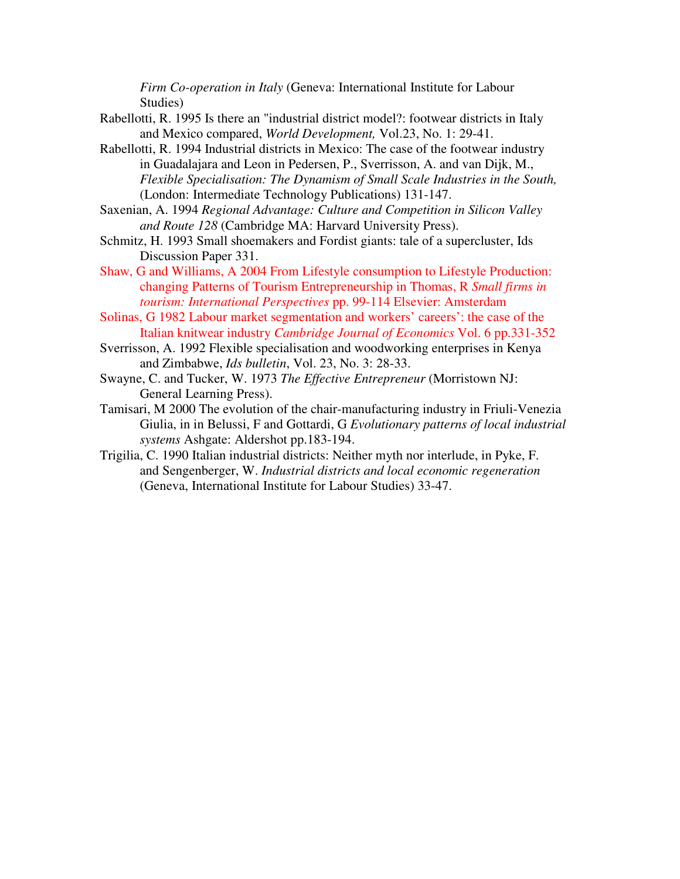*Firm Co-operation in Italy* (Geneva: International Institute for Labour Studies)

- Rabellotti, R. 1995 Is there an "industrial district model?: footwear districts in Italy and Mexico compared, *World Development,* Vol.23, No. 1: 29-41.
- Rabellotti, R. 1994 Industrial districts in Mexico: The case of the footwear industry in Guadalajara and Leon in Pedersen, P., Sverrisson, A. and van Dijk, M., *Flexible Specialisation: The Dynamism of Small Scale Industries in the South,* (London: Intermediate Technology Publications) 131-147.
- Saxenian, A. 1994 *Regional Advantage: Culture and Competition in Silicon Valley and Route 128* (Cambridge MA: Harvard University Press).
- Schmitz, H. 1993 Small shoemakers and Fordist giants: tale of a supercluster, Ids Discussion Paper 331.
- Shaw, G and Williams, A 2004 From Lifestyle consumption to Lifestyle Production: changing Patterns of Tourism Entrepreneurship in Thomas, R *Small firms in tourism: International Perspectives* pp. 99-114 Elsevier: Amsterdam
- Solinas, G 1982 Labour market segmentation and workers' careers': the case of the Italian knitwear industry *Cambridge Journal of Economics* Vol. 6 pp.331-352
- Sverrisson, A. 1992 Flexible specialisation and woodworking enterprises in Kenya and Zimbabwe, *Ids bulletin*, Vol. 23, No. 3: 28-33.
- Swayne, C. and Tucker, W. 1973 *The Effective Entrepreneur* (Morristown NJ: General Learning Press).
- Tamisari, M 2000 The evolution of the chair-manufacturing industry in Friuli-Venezia Giulia, in in Belussi, F and Gottardi, G *Evolutionary patterns of local industrial systems* Ashgate: Aldershot pp.183-194.
- Trigilia, C. 1990 Italian industrial districts: Neither myth nor interlude, in Pyke, F. and Sengenberger, W. *Industrial districts and local economic regeneration* (Geneva, International Institute for Labour Studies) 33-47.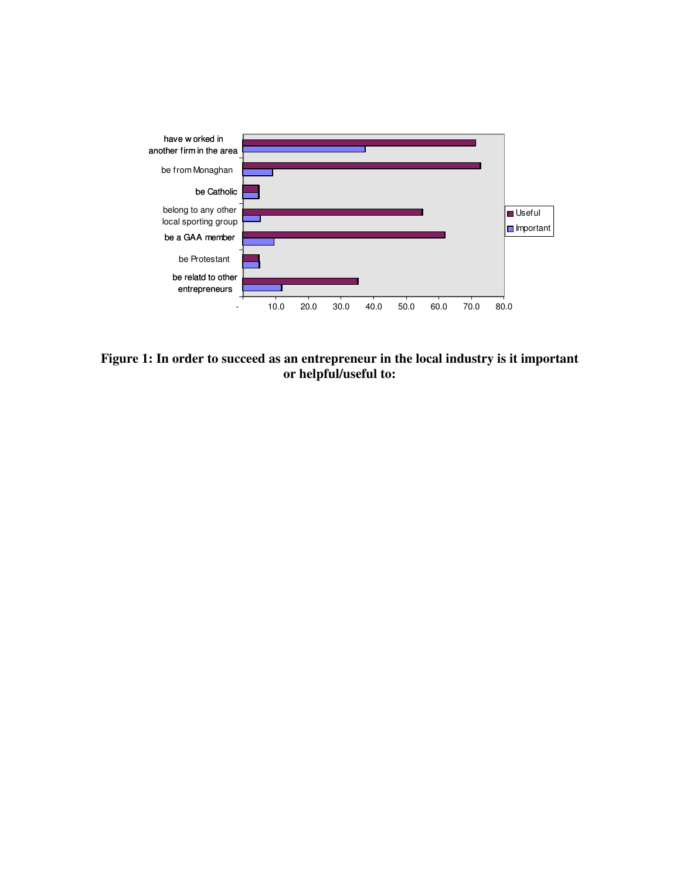

**Figure 1: In order to succeed as an entrepreneur in the local industry is it important or helpful/useful to:**